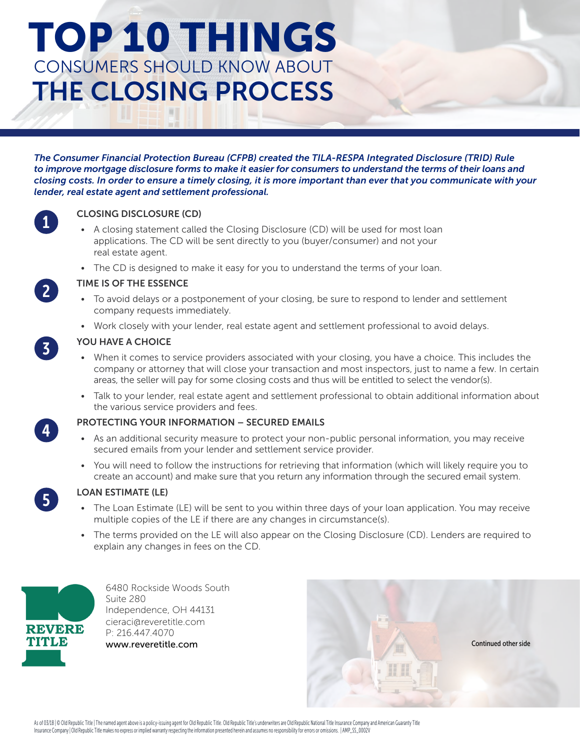# TOP 10 THINGS CONSUMERS SHOULD KNOW ABOUT THE CLOSING PROCESS

*The Consumer Financial Protection Bureau (CFPB) created the TILA-RESPA Integrated Disclosure (TRID) Rule to improve mortgage disclosure forms to make it easier for consumers to understand the terms of their loans and closing costs. In order to ensure a timely closing, it is more important than ever that you communicate with your lender, real estate agent and settlement professional.*



## CLOSING DISCLOSURE (CD)

- A closing statement called the Closing Disclosure (CD) will be used for most loan applications. The CD will be sent directly to you (buyer/consumer) and not your real estate agent.
- The CD is designed to make it easy for you to understand the terms of your loan.



3

#### TIME IS OF THE ESSENCE

- To avoid delays or a postponement of your closing, be sure to respond to lender and settlement company requests immediately.
- Work closely with your lender, real estate agent and settlement professional to avoid delays.

#### YOU HAVE A CHOICE

- When it comes to service providers associated with your closing, you have a choice. This includes the company or attorney that will close your transaction and most inspectors, just to name a few. In certain areas, the seller will pay for some closing costs and thus will be entitled to select the vendor(s).
- Talk to your lender, real estate agent and settlement professional to obtain additional information about the various service providers and fees.

#### PROTECTING YOUR INFORMATION – SECURED EMAILS

- As an additional security measure to protect your non-public personal information, you may receive secured emails from your lender and settlement service provider.
- You will need to follow the instructions for retrieving that information (which will likely require you to create an account) and make sure that you return any information through the secured email system.



4

#### LOAN ESTIMATE (LE)

- The Loan Estimate (LE) will be sent to you within three days of your loan application. You may receive multiple copies of the LE if there are any changes in circumstance(s).
- The terms provided on the LE will also appear on the Closing Disclosure (CD). Lenders are required to explain any changes in fees on the CD.



6480 Rockside Woods South Suite 280 Independence, OH 44131 cieraci@reveretitle.com P: 216.447.4070 www.reveretitle.com



As of 03/18 | © Old Republic Title | The named agent above is a policy-issuing agent for Old Republic Title. Old Republic Title's underwriters are Old Republic National Title Insurance Company and American Guaranty Title Insurance Company | Old Republic Title makes no express or implied warranty respecting the information presented herein and assumes no responsibility for errors or omissions. | AMP\_SS\_0002V